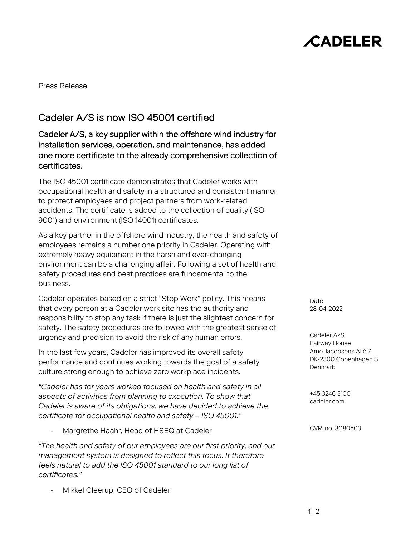# **CADELER**

Press Release

## Cadeler A/S is now ISO 45001 certified

Cadeler A/S, a key supplier within the offshore wind industry for installation services, operation, and maintenance, has added one more certificate to the already comprehensive collection of certificates.

The ISO 45001 certificate demonstrates that Cadeler works with occupational health and safety in a structured and consistent manner to protect employees and project partners from work-related accidents. The certificate is added to the collection of quality (ISO 9001) and environment (ISO 14001) certificates.

As a key partner in the offshore wind industry, the health and safety of employees remains a number one priority in Cadeler. Operating with extremely heavy equipment in the harsh and ever-changing environment can be a challenging affair. Following a set of health and safety procedures and best practices are fundamental to the business.

Cadeler operates based on a strict "Stop Work" policy. This means that every person at a Cadeler work site has the authority and responsibility to stop any task if there is just the slightest concern for safety. The safety procedures are followed with the greatest sense of urgency and precision to avoid the risk of any human errors.

In the last few years, Cadeler has improved its overall safety performance and continues working towards the goal of a safety culture strong enough to achieve zero workplace incidents.

*"Cadeler has for years worked focused on health and safety in all aspects of activities from planning to execution. To show that Cadeler is aware of its obligations, we have decided to achieve the certificate for occupational health and safety – ISO 45001."* 

Margrethe Haahr, Head of HSEQ at Cadeler

*"The health and safety of our employees are our first priority, and our management system is designed to reflect this focus. It therefore feels natural to add the ISO 45001 standard to our long list of certificates."*

Mikkel Gleerup, CEO of Cadeler.

Date 28-04-2022

Cadeler A/S Fairway House Arne Jacobsens Allé 7 DK-2300 Copenhagen S **Denmark** 

+45 3246 3100 cadeler.com

CVR. no. 31180503